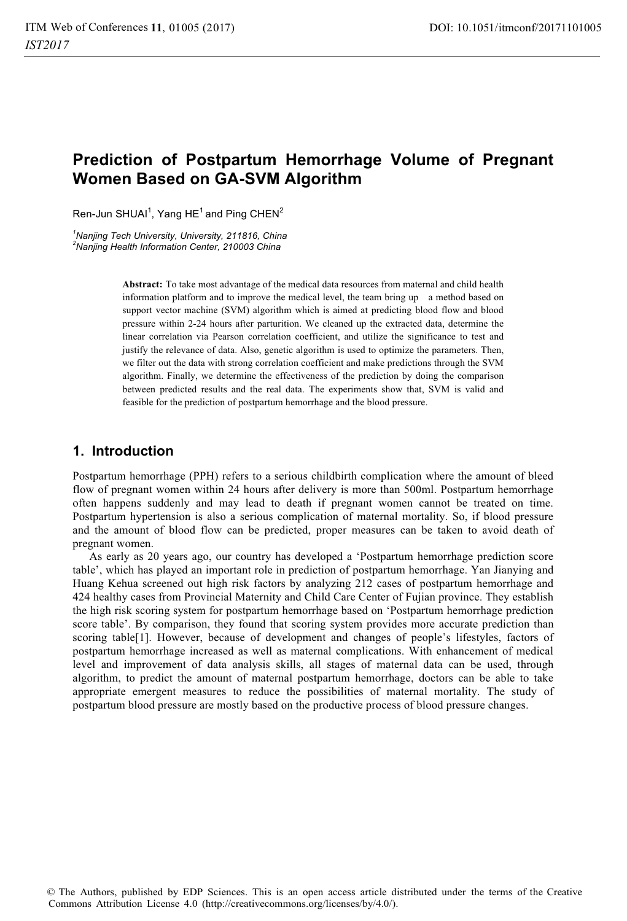# **Prediction of Postpartum Hemorrhage Volume of Pregnant Women Based on GA-SVM Algorithm**

Ren-Jun SHUAI $^1$ , Yang HE $^1$  and Ping CHEN $^2$ 

*1 Nanjing Tech University, University, 211816, China 2 Nanjing Health Information Center, 210003 China* 

> **Abstract:** To take most advantage of the medical data resources from maternal and child health information platform and to improve the medical level, the team bring up a method based on support vector machine (SVM) algorithm which is aimed at predicting blood flow and blood pressure within 2-24 hours after parturition. We cleaned up the extracted data, determine the linear correlation via Pearson correlation coefficient, and utilize the significance to test and justify the relevance of data. Also, genetic algorithm is used to optimize the parameters. Then, we filter out the data with strong correlation coefficient and make predictions through the SVM algorithm. Finally, we determine the effectiveness of the prediction by doing the comparison between predicted results and the real data. The experiments show that, SVM is valid and feasible for the prediction of postpartum hemorrhage and the blood pressure.

# **1. Introduction**

Postpartum hemorrhage (PPH) refers to a serious childbirth complication where the amount of bleed flow of pregnant women within 24 hours after delivery is more than 500ml. Postpartum hemorrhage often happens suddenly and may lead to death if pregnant women cannot be treated on time. Postpartum hypertension is also a serious complication of maternal mortality. So, if blood pressure and the amount of blood flow can be predicted, proper measures can be taken to avoid death of pregnant women.

As early as 20 years ago, our country has developed a 'Postpartum hemorrhage prediction score table', which has played an important role in prediction of postpartum hemorrhage. Yan Jianying and Huang Kehua screened out high risk factors by analyzing 212 cases of postpartum hemorrhage and 424 healthy cases from Provincial Maternity and Child Care Center of Fujian province. They establish the high risk scoring system for postpartum hemorrhage based on 'Postpartum hemorrhage prediction score table'. By comparison, they found that scoring system provides more accurate prediction than scoring table[1]. However, because of development and changes of people's lifestyles, factors of postpartum hemorrhage increased as well as maternal complications. With enhancement of medical level and improvement of data analysis skills, all stages of maternal data can be used, through algorithm, to predict the amount of maternal postpartum hemorrhage, doctors can be able to take appropriate emergent measures to reduce the possibilities of maternal mortality. The study of postpartum blood pressure are mostly based on the productive process of blood pressure changes.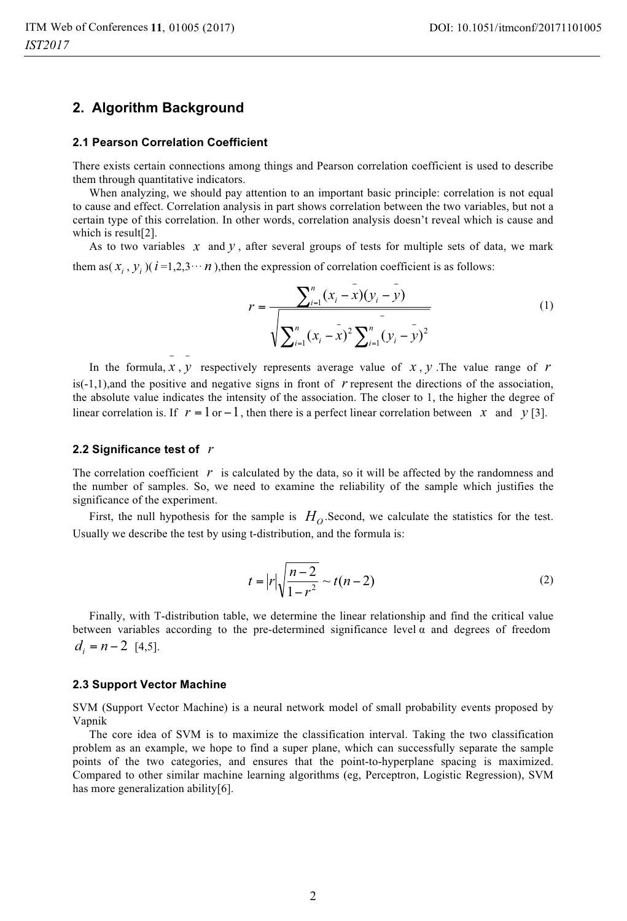### **2. Algorithm Background**

#### **2.1 Pearson Correlation Coefficient**

− −

There exists certain connections among things and Pearson correlation coefficient is used to describe them through quantitative indicators.

When analyzing, we should pay attention to an important basic principle: correlation is not equal to cause and effect. Correlation analysis in part shows correlation between the two variables, but not a certain type of this correlation. In other words, correlation analysis doesn't reveal which is cause and which is result[2].

As to two variables  $x$  and  $y$ , after several groups of tests for multiple sets of data, we mark them as( $x_i$ ,  $y_i$ )( $i = 1,2,3 \cdots n$ ),then the expression of correlation coefficient is as follows:

$$
r = \frac{\sum_{i=1}^{n} (x_i - \bar{x})(y_i - \bar{y})}{\sqrt{\sum_{i=1}^{n} (x_i - \bar{x})^2 \sum_{i=1}^{n} (y_i - \bar{y})^2}}
$$
(1)

In the formula,  $x$ ,  $y$  respectively represents average value of  $x$ ,  $y$ . The value range of  $r$  $is(-1,1)$ , and the positive and negative signs in front of  $r$  represent the directions of the association, the absolute value indicates the intensity of the association. The closer to 1, the higher the degree of linear correlation is. If  $r = 1$  or  $-1$ , then there is a perfect linear correlation between *x* and *y* [3].

### **2.2 Significance test of** *r*

The correlation coefficient  $r$  is calculated by the data, so it will be affected by the randomness and the number of samples. So, we need to examine the reliability of the sample which justifies the significance of the experiment.

First, the null hypothesis for the sample is  $H_0$ . Second, we calculate the statistics for the test. Usually we describe the test by using t-distribution, and the formula is:

$$
t = |r| \sqrt{\frac{n-2}{1-r^2}} \sim t(n-2)
$$
 (2)

Finally, with T-distribution table, we determine the linear relationship and find the critical value between variables according to the pre-determined significance level  $\alpha$  and degrees of freedom  $d_i = n - 2$  [4,5].

#### **2.3 Support Vector Machine**

SVM (Support Vector Machine) is a neural network model of small probability events proposed by Vapnik

The core idea of SVM is to maximize the classification interval. Taking the two classification problem as an example, we hope to find a super plane, which can successfully separate the sample points of the two categories, and ensures that the point-to-hyperplane spacing is maximized. Compared to other similar machine learning algorithms (eg, Perceptron, Logistic Regression), SVM has more generalization ability[6].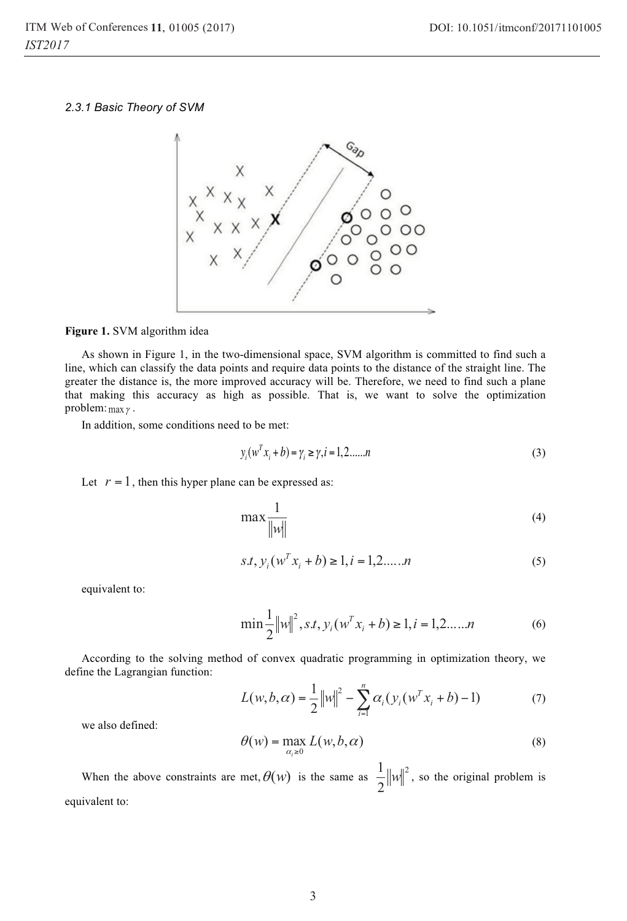*2.3.1 Basic Theory of SVM* 



**Figure 1.** SVM algorithm idea

As shown in Figure 1, in the two-dimensional space, SVM algorithm is committed to find such a line, which can classify the data points and require data points to the distance of the straight line. The greater the distance is, the more improved accuracy will be. Therefore, we need to find such a plane that making this accuracy as high as possible. That is, we want to solve the optimization problem:  $\max \gamma$ .

In addition, some conditions need to be met:

$$
y_i(w^T x_i + b) = \gamma_i \ge \gamma, i = 1, 2, \dots, n
$$
\n(3)

Let  $r = 1$ , then this hyper plane can be expressed as:

$$
\max \frac{1}{\|w\|} \tag{4}
$$

$$
s.t. y_i(w^T x_i + b) \ge 1, i = 1, 2, \dots, n
$$
\n<sup>(5)</sup>

equivalent to:

$$
\min \frac{1}{2} ||w||^2, s.t, y_i(w^T x_i + b) \ge 1, i = 1, 2, \dots, n
$$
 (6)

According to the solving method of convex quadratic programming in optimization theory, we define the Lagrangian function:

$$
L(w, b, \alpha) = \frac{1}{2} ||w||^2 - \sum_{i=1}^{n} \alpha_i (y_i (w^T x_i + b) - 1)
$$
 (7)

we also defined:

$$
\theta(w) = \max_{\alpha_i \ge 0} L(w, b, \alpha) \tag{8}
$$

When the above constraints are met,  $\theta(w)$  is the same as  $\frac{1}{2} ||w||^2$ 2  $\frac{1}{2}$   $||w||^2$ , so the original problem is equivalent to: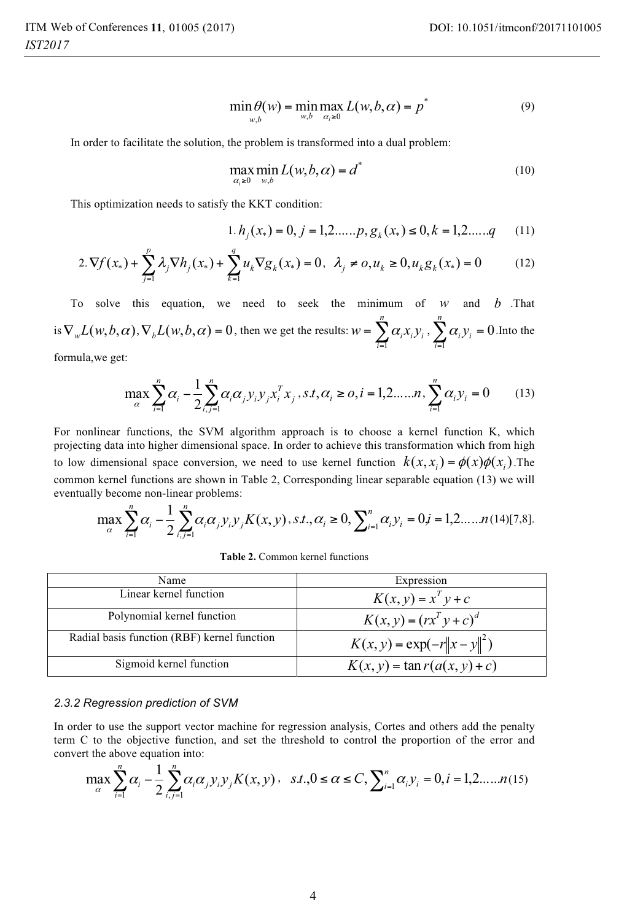$$
\min_{w,b} \theta(w) = \min_{w,b} \max_{\alpha_i \ge 0} L(w, b, \alpha) = p^*
$$
\n(9)

In order to facilitate the solution, the problem is transformed into a dual problem:

$$
\max_{\alpha_i \ge 0} \min_{w,b} L(w,b,\alpha) = d^*
$$
\n(10)

This optimization needs to satisfy the KKT condition:

$$
1. h_j(x_*) = 0, j = 1, 2, \dots, p, g_k(x_*) \le 0, k = 1, 2, \dots, q \tag{11}
$$

$$
2.\nabla f(x_*) + \sum_{j=1}^p \lambda_j \nabla h_j(x_*) + \sum_{k=1}^q u_k \nabla g_k(x_*) = 0, \ \lambda_j \neq 0, u_k \ge 0, u_k g_k(x_*) = 0 \tag{12}
$$

To solve this equation, we need to seek the minimum of *w* and *b* .That is  $\nabla_w L(w, b, \alpha)$ ,  $\nabla_b L(w, b, \alpha) = 0$ , then we get the results:  $w = \sum_{i=1}^{\infty}$ *n*  $w = \sum_{i=1}^n \alpha_i x_i y_i$ 1  $\alpha_i x_i y_i$ ,  $\sum \alpha_i y_i = 0$  $\sum_{i=1} \alpha_i y_i =$ *n*  $\sum_{i=1}^n \alpha_i y_i = 0$ . Into the

formula,we get:

$$
\max_{\alpha} \sum_{i=1}^{n} \alpha_i - \frac{1}{2} \sum_{i,j=1}^{n} \alpha_i \alpha_j y_i y_j x_i^T x_j, s.t, \alpha_i \ge 0, i = 1, 2, \dots, n, \sum_{i=1}^{n} \alpha_i y_i = 0 \tag{13}
$$

For nonlinear functions, the SVM algorithm approach is to choose a kernel function K, which projecting data into higher dimensional space. In order to achieve this transformation which from high to low dimensional space conversion, we need to use kernel function  $k(x, x_i) = \phi(x)\phi(x_i)$ . The common kernel functions are shown in Table 2, Corresponding linear separable equation (13) we will eventually become non-linear problems:

$$
\max_{\alpha} \sum_{i=1}^{n} \alpha_i - \frac{1}{2} \sum_{i,j=1}^{n} \alpha_i \alpha_j y_i y_j K(x, y), s.t., \alpha_i \ge 0, \sum_{i=1}^{n} \alpha_i y_i = 0, j = 1, 2, \dots, n \tag{14} [7, 8].
$$

**Table 2.** Common kernel functions

| Name                                        | Expression                      |  |
|---------------------------------------------|---------------------------------|--|
| Linear kernel function                      | $K(x, y) = x^T y + c$           |  |
| Polynomial kernel function                  | $K(x, y) = (rx^{T} y + c)^{d}$  |  |
| Radial basis function (RBF) kernel function | $K(x, y) = \exp(-r  x - y  ^2)$ |  |
| Sigmoid kernel function                     | $K(x, y) = \tan r(a(x, y) + c)$ |  |

### *2.3.2 Regression prediction of SVM*

In order to use the support vector machine for regression analysis, Cortes and others add the penalty term C to the objective function, and set the threshold to control the proportion of the error and convert the above equation into:

$$
\max_{\alpha} \sum_{i=1}^{n} \alpha_i - \frac{1}{2} \sum_{i,j=1}^{n} \alpha_i \alpha_j y_i y_j K(x, y), \quad s.t., 0 \le \alpha \le C, \sum_{i=1}^{n} \alpha_i y_i = 0, i = 1, 2, \dots, n(15)
$$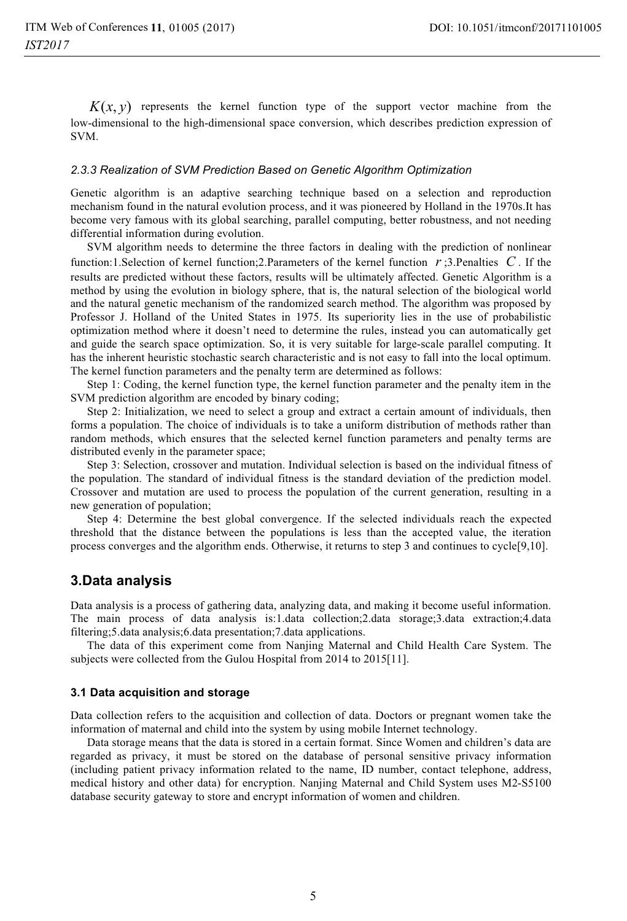$K(x, y)$  represents the kernel function type of the support vector machine from the low-dimensional to the high-dimensional space conversion, which describes prediction expression of SVM.

#### *2.3.3 Realization of SVM Prediction Based on Genetic Algorithm Optimization*

Genetic algorithm is an adaptive searching technique based on a selection and reproduction mechanism found in the natural evolution process, and it was pioneered by Holland in the 1970s.It has become very famous with its global searching, parallel computing, better robustness, and not needing differential information during evolution.

SVM algorithm needs to determine the three factors in dealing with the prediction of nonlinear function:1.Selection of kernel function;2.Parameters of the kernel function *r* ;3.Penalties *C* . If the results are predicted without these factors, results will be ultimately affected. Genetic Algorithm is a method by using the evolution in biology sphere, that is, the natural selection of the biological world and the natural genetic mechanism of the randomized search method. The algorithm was proposed by Professor J. Holland of the United States in 1975. Its superiority lies in the use of probabilistic optimization method where it doesn't need to determine the rules, instead you can automatically get and guide the search space optimization. So, it is very suitable for large-scale parallel computing. It has the inherent heuristic stochastic search characteristic and is not easy to fall into the local optimum. The kernel function parameters and the penalty term are determined as follows:

Step 1: Coding, the kernel function type, the kernel function parameter and the penalty item in the SVM prediction algorithm are encoded by binary coding;

Step 2: Initialization, we need to select a group and extract a certain amount of individuals, then forms a population. The choice of individuals is to take a uniform distribution of methods rather than random methods, which ensures that the selected kernel function parameters and penalty terms are distributed evenly in the parameter space;

Step 3: Selection, crossover and mutation. Individual selection is based on the individual fitness of the population. The standard of individual fitness is the standard deviation of the prediction model. Crossover and mutation are used to process the population of the current generation, resulting in a new generation of population;

Step 4: Determine the best global convergence. If the selected individuals reach the expected threshold that the distance between the populations is less than the accepted value, the iteration process converges and the algorithm ends. Otherwise, it returns to step 3 and continues to cycle[9,10].

### **3.Data analysis**

Data analysis is a process of gathering data, analyzing data, and making it become useful information. The main process of data analysis is:1.data collection;2.data storage;3.data extraction;4.data filtering;5.data analysis;6.data presentation;7.data applications.

The data of this experiment come from Nanjing Maternal and Child Health Care System. The subjects were collected from the Gulou Hospital from 2014 to 2015[11].

### **3.1 Data acquisition and storage**

Data collection refers to the acquisition and collection of data. Doctors or pregnant women take the information of maternal and child into the system by using mobile Internet technology.

Data storage means that the data is stored in a certain format. Since Women and children's data are regarded as privacy, it must be stored on the database of personal sensitive privacy information (including patient privacy information related to the name, ID number, contact telephone, address, medical history and other data) for encryption. Nanjing Maternal and Child System uses M2-S5100 database security gateway to store and encrypt information of women and children.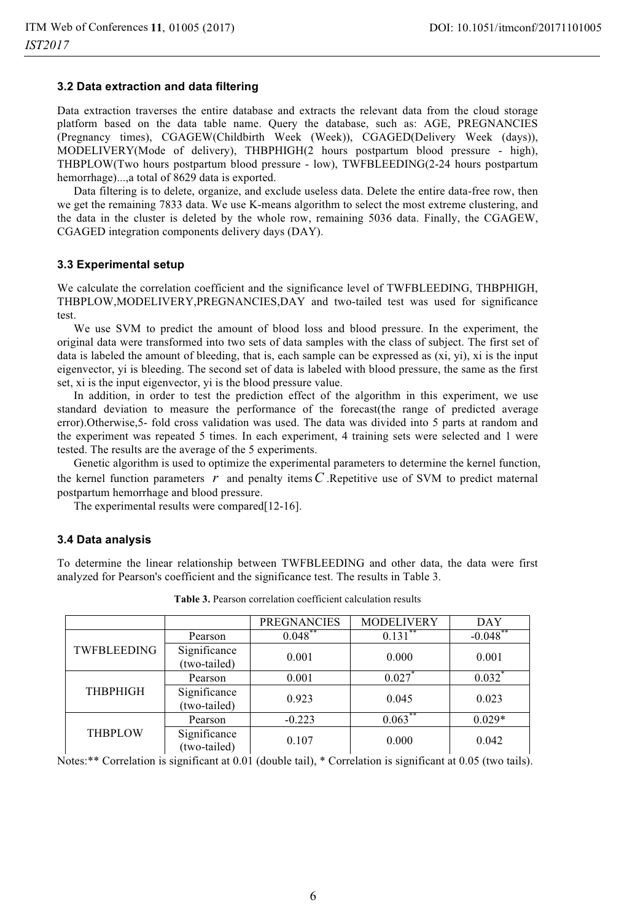### **3.2 Data extraction and data filtering**

Data extraction traverses the entire database and extracts the relevant data from the cloud storage platform based on the data table name. Query the database, such as: AGE, PREGNANCIES (Pregnancy times), CGAGEW(Childbirth Week (Week)), CGAGED(Delivery Week (days)), MODELIVERY(Mode of delivery), THBPHIGH(2 hours postpartum blood pressure - high), THBPLOW(Two hours postpartum blood pressure - low), TWFBLEEDING(2-24 hours postpartum hemorrhage)...,a total of 8629 data is exported.

Data filtering is to delete, organize, and exclude useless data. Delete the entire data-free row, then we get the remaining 7833 data. We use K-means algorithm to select the most extreme clustering, and the data in the cluster is deleted by the whole row, remaining 5036 data. Finally, the CGAGEW, CGAGED integration components delivery days (DAY).

### **3.3 Experimental setup**

We calculate the correlation coefficient and the significance level of TWFBLEEDING, THBPHIGH, THBPLOW,MODELIVERY,PREGNANCIES,DAY and two-tailed test was used for significance test.

We use SVM to predict the amount of blood loss and blood pressure. In the experiment, the original data were transformed into two sets of data samples with the class of subject. The first set of data is labeled the amount of bleeding, that is, each sample can be expressed as (xi, yi), xi is the input eigenvector, yi is bleeding. The second set of data is labeled with blood pressure, the same as the first set, xi is the input eigenvector, yi is the blood pressure value.

In addition, in order to test the prediction effect of the algorithm in this experiment, we use standard deviation to measure the performance of the forecast(the range of predicted average error).Otherwise,5- fold cross validation was used. The data was divided into 5 parts at random and the experiment was repeated 5 times. In each experiment, 4 training sets were selected and 1 were tested. The results are the average of the 5 experiments.

Genetic algorithm is used to optimize the experimental parameters to determine the kernel function, the kernel function parameters  $r$  and penalty items  $C$ . Repetitive use of SVM to predict maternal postpartum hemorrhage and blood pressure.

The experimental results were compared[12-16].

#### **3.4 Data analysis**

To determine the linear relationship between TWFBLEEDING and other data, the data were first analyzed for Pearson's coefficient and the significance test. The results in Table 3.

|                 |                              | <b>PREGNANCIES</b> | <b>MODELIVERY</b> | <b>DAY</b>  |
|-----------------|------------------------------|--------------------|-------------------|-------------|
| TWFBLEEDING     | Pearson                      | $0.048$ **         | 0.131             | $-0.048$ ** |
|                 | Significance<br>(two-tailed) | 0.001              | 0.000             | 0.001       |
| <b>THBPHIGH</b> | Pearson                      | 0.001              | 0.027             | 0.032       |
|                 | Significance<br>(two-tailed) | 0.923              | 0.045             | 0.023       |
| <b>THBPLOW</b>  | Pearson                      | $-0.223$           | 0.063             | $0.029*$    |
|                 | Significance<br>(two-tailed) | 0.107              | 0.000             | 0.042       |

**Table 3.** Pearson correlation coefficient calculation results

Notes:\*\* Correlation is significant at 0.01 (double tail), \* Correlation is significant at 0.05 (two tails).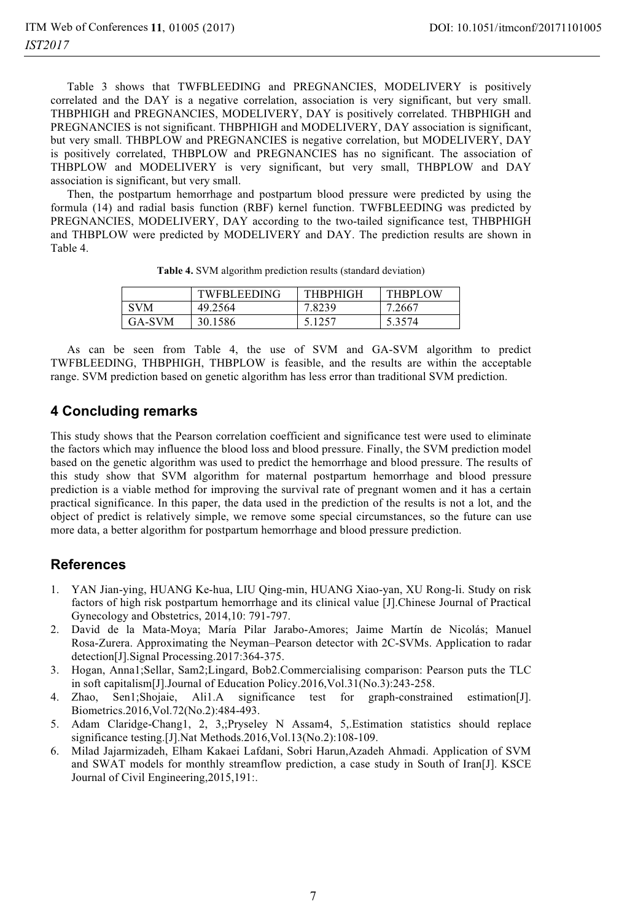Table 3 shows that TWFBLEEDING and PREGNANCIES, MODELIVERY is positively correlated and the DAY is a negative correlation, association is very significant, but very small. THBPHIGH and PREGNANCIES, MODELIVERY, DAY is positively correlated. THBPHIGH and PREGNANCIES is not significant. THBPHIGH and MODELIVERY, DAY association is significant, but very small. THBPLOW and PREGNANCIES is negative correlation, but MODELIVERY, DAY is positively correlated, THBPLOW and PREGNANCIES has no significant. The association of THBPLOW and MODELIVERY is very significant, but very small, THBPLOW and DAY association is significant, but very small.

Then, the postpartum hemorrhage and postpartum blood pressure were predicted by using the formula (14) and radial basis function (RBF) kernel function. TWFBLEEDING was predicted by PREGNANCIES, MODELIVERY, DAY according to the two-tailed significance test, THBPHIGH and THBPLOW were predicted by MODELIVERY and DAY. The prediction results are shown in Table 4.

|            | <b>TWFBLEEDING</b> | <b>THRPHIGH</b> | <b>THBPLOW</b> |
|------------|--------------------|-----------------|----------------|
| <b>SVM</b> | 49.2564            | 7.8239          | 7.2667         |
| GA-SVM     | 30.1586            | 5.1257          | 5.3574         |

**Table 4.** SVM algorithm prediction results (standard deviation)

As can be seen from Table 4, the use of SVM and GA-SVM algorithm to predict TWFBLEEDING, THBPHIGH, THBPLOW is feasible, and the results are within the acceptable range. SVM prediction based on genetic algorithm has less error than traditional SVM prediction.

## **4 Concluding remarks**

This study shows that the Pearson correlation coefficient and significance test were used to eliminate the factors which may influence the blood loss and blood pressure. Finally, the SVM prediction model based on the genetic algorithm was used to predict the hemorrhage and blood pressure. The results of this study show that SVM algorithm for maternal postpartum hemorrhage and blood pressure prediction is a viable method for improving the survival rate of pregnant women and it has a certain practical significance. In this paper, the data used in the prediction of the results is not a lot, and the object of predict is relatively simple, we remove some special circumstances, so the future can use more data, a better algorithm for postpartum hemorrhage and blood pressure prediction.

# **References**

- 1. YAN Jian-ying, HUANG Ke-hua, LIU Qing-min, HUANG Xiao-yan, XU Rong-li. Study on risk factors of high risk postpartum hemorrhage and its clinical value [J].Chinese Journal of Practical Gynecology and Obstetrics, 2014,10: 791-797.
- 2. David de la Mata-Moya; María Pilar Jarabo-Amores; Jaime Martín de Nicolás; Manuel Rosa-Zurera. Approximating the Neyman–Pearson detector with 2C-SVMs. Application to radar detection[J].Signal Processing.2017:364-375.
- 3. Hogan, Anna1;Sellar, Sam2;Lingard, Bob2.Commercialising comparison: Pearson puts the TLC in soft capitalism[J].Journal of Education Policy.2016,Vol.31(No.3):243-258.
- 4. Zhao, Sen1;Shojaie, Ali1.A significance test for graph-constrained estimation[J]. Biometrics.2016,Vol.72(No.2):484-493.
- 5. Adam Claridge-Chang1, 2, 3,;Pryseley N Assam4, 5,.Estimation statistics should replace significance testing.[J].Nat Methods.2016,Vol.13(No.2):108-109.
- 6. Milad Jajarmizadeh, Elham Kakaei Lafdani, Sobri Harun,Azadeh Ahmadi. Application of SVM and SWAT models for monthly streamflow prediction, a case study in South of Iran[J]. KSCE Journal of Civil Engineering,2015,191:.